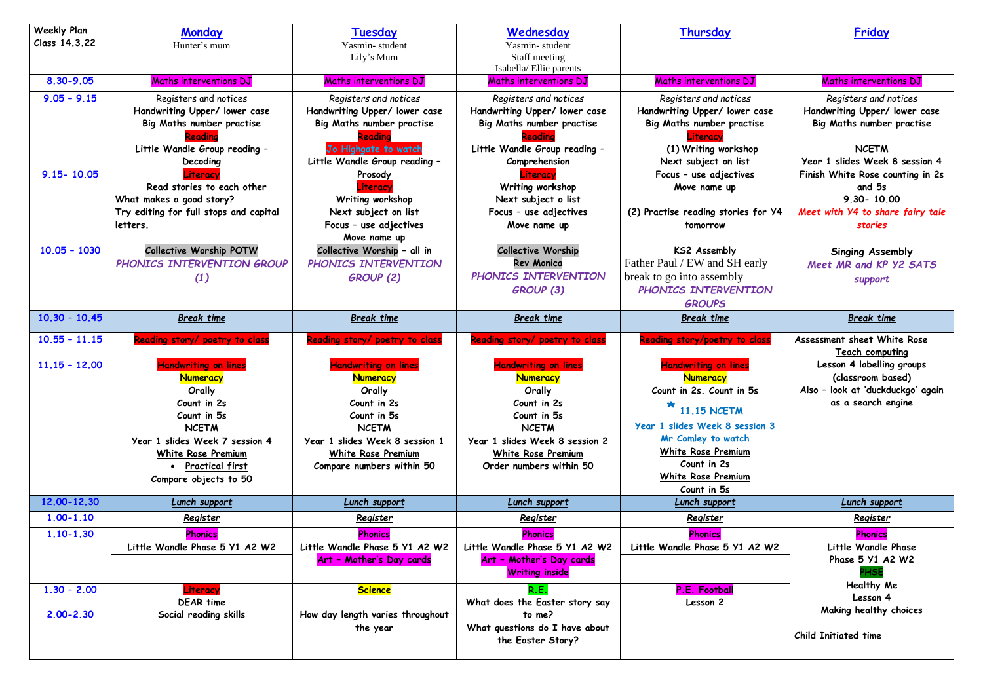| <b>Weekly Plan</b><br>Class 14.3.22 | <b>Monday</b><br>Hunter's mum                                                                                                                                                                                                 | Tuesday<br>Yasmin-student<br>Lily's Mum                                                                                                                                                               | Wednesday<br>Yasmin-student<br>Staff meeting<br>Isabella/Ellie parents                                                                                                                                            | Thursday                                                                                                                                                                                                                                                               | Friday                                                                                                                                         |
|-------------------------------------|-------------------------------------------------------------------------------------------------------------------------------------------------------------------------------------------------------------------------------|-------------------------------------------------------------------------------------------------------------------------------------------------------------------------------------------------------|-------------------------------------------------------------------------------------------------------------------------------------------------------------------------------------------------------------------|------------------------------------------------------------------------------------------------------------------------------------------------------------------------------------------------------------------------------------------------------------------------|------------------------------------------------------------------------------------------------------------------------------------------------|
| 8.30-9.05                           | Maths interventions DJ                                                                                                                                                                                                        | Maths interventions DJ                                                                                                                                                                                | <b>Maths interventions DJ</b>                                                                                                                                                                                     | Maths interventions DJ                                                                                                                                                                                                                                                 | Maths interventions DJ                                                                                                                         |
| $9.05 - 9.15$                       | Registers and notices<br>Handwriting Upper/ lower case<br>Big Maths number practise                                                                                                                                           | Registers and notices<br>Handwriting Upper/ lower case<br>Big Maths number practise<br>Readina                                                                                                        | Registers and notices<br>Handwriting Upper/ lower case<br>Big Maths number practise                                                                                                                               | Registers and notices<br>Handwriting Upper/ lower case<br>Big Maths number practise<br>Literacv                                                                                                                                                                        | Registers and notices<br>Handwriting Upper/ lower co<br>Big Maths number practise                                                              |
| $9.15 - 10.05$                      | Little Wandle Group reading -<br>Decoding<br>Literacy<br>Read stories to each other<br>What makes a good story?<br>Try editing for full stops and capital<br>letters.                                                         | Jo Highgate to watch<br>Little Wandle Group reading -<br>Prosody<br>Literacy<br>Writing workshop<br>Next subject on list<br>Focus - use adjectives<br>Move name up                                    | Little Wandle Group reading -<br>Comprehension<br>Literacy<br>Writing workshop<br>Next subject o list<br>Focus - use adjectives<br>Move name up                                                                   | (1) Writing workshop<br>Next subject on list<br>Focus - use adjectives<br>Move name up<br>(2) Practise reading stories for Y4<br>tomorrow                                                                                                                              | <b>NCETM</b><br>Year 1 slides Week 8 sessio<br>Finish White Rose counting in<br>and 5s<br>9.30-10.00<br>Meet with Y4 to share fairy<br>stories |
| $10.05 - 1030$                      | <b>Collective Worship POTW</b><br>PHONICS INTERVENTION GROUP<br>(1)                                                                                                                                                           | Collective Worship - all in<br>PHONICS INTERVENTION<br><b>GROUP (2)</b>                                                                                                                               | <b>Collective Worship</b><br><b>Rev Monica</b><br>PHONICS INTERVENTION<br>GROUP (3)                                                                                                                               | <b>KS2 Assembly</b><br>Father Paul / EW and SH early<br>break to go into assembly<br>PHONICS INTERVENTION<br><b>GROUPS</b>                                                                                                                                             | <b>Singing Assembly</b><br>Meet MR and KP Y2 SAT<br>support                                                                                    |
| $10.30 - 10.45$                     | <b>Break time</b>                                                                                                                                                                                                             | <b>Break time</b>                                                                                                                                                                                     | <b>Break time</b>                                                                                                                                                                                                 | <b>Break time</b>                                                                                                                                                                                                                                                      | Break time                                                                                                                                     |
| $10.55 - 11.15$                     | Reading story/ poetry to class                                                                                                                                                                                                | Reading story/ poetry to class                                                                                                                                                                        | <b>Reading story/ poetry to class</b>                                                                                                                                                                             | <b>Reading story/poetry to class</b>                                                                                                                                                                                                                                   | Assessment sheet White Rose<br>Teach computing                                                                                                 |
| $11.15 - 12.00$<br>12.00-12.30      | <b>Handwriting on lines</b><br><b>Numeracy</b><br>Orally<br>Count in 2s<br>Count in 5s<br><b>NCETM</b><br>Year 1 slides Week 7 session 4<br>White Rose Premium<br>• Practical first<br>Compare objects to 50<br>Lunch support | <b>Handwriting on lines</b><br>Numeracy<br>Orally<br>Count in 2s<br>Count in 5s<br><b>NCETM</b><br>Year 1 slides Week 8 session 1<br>White Rose Premium<br>Compare numbers within 50<br>Lunch support | <b>Handwriting on lines</b><br><b>Numeracy</b><br>Orally<br>Count in 2s<br>Count in 5s<br><b>NCETM</b><br>Year 1 slides Week 8 session 2<br>White Rose Premium<br>Order numbers within 50<br><b>Lunch support</b> | <b>Handwriting on lines</b><br><b>Numeracy</b><br>Count in 2s. Count in 5s<br>₩<br><b>11.15 NCETM</b><br>Year 1 slides Week 8 session 3<br>Mr Comley to watch<br><b>White Rose Premium</b><br>Count in 2s<br><b>White Rose Premium</b><br>Count in 5s<br>Lunch support | Lesson 4 labelling groups<br>(classroom based)<br>Also - look at 'duckduckgo' a<br>as a search engine<br>Lunch support                         |
| $1.00 - 1.10$                       | Register                                                                                                                                                                                                                      | Register                                                                                                                                                                                              | Register                                                                                                                                                                                                          | Register                                                                                                                                                                                                                                                               | Register                                                                                                                                       |
| $1.10 - 1.30$                       | <b>Phonics</b><br>Little Wandle Phase 5 Y1 A2 W2                                                                                                                                                                              | <b>Phonics</b><br>Little Wandle Phase 5 Y1 A2 W2<br>Art - Mother's Day cards                                                                                                                          | <b>Phonics</b><br>Little Wandle Phase 5 Y1 A2 W2<br>Art - Mother's Day cards<br><b>Writing inside</b>                                                                                                             | <b>Phonics</b><br>Little Wandle Phase 5 Y1 A2 W2                                                                                                                                                                                                                       | <b>Phonics</b><br>Little Wandle Phase<br>Phase 5 Y1 A2 W2<br><b>HSI</b>                                                                        |
| $1.30 - 2.00$<br>$2.00 - 2.30$      | Literacy<br><b>DEAR time</b><br>Social reading skills                                                                                                                                                                         | <b>Science</b><br>How day length varies throughout<br>the year                                                                                                                                        | R.E.<br>What does the Easter story say<br>to me?<br>What questions do I have about<br>the Easter Story?                                                                                                           | P.E. Football<br>Lesson 2                                                                                                                                                                                                                                              | Healthy Me<br>Lesson 4<br>Making healthy choices<br><b>Child Initiated time</b>                                                                |

| <u>Thursday</u>                        | <b>Friday</b>                         |  |  |
|----------------------------------------|---------------------------------------|--|--|
|                                        |                                       |  |  |
|                                        |                                       |  |  |
| s interventions DJ                     | <b>Maths interventions DJ</b>         |  |  |
| <u>sters and notices</u>               | Registers and notices                 |  |  |
| ng Upper/ lower case                   | Handwriting Upper/ lower case         |  |  |
| hs number practise                     | Big Maths number practise             |  |  |
| Literacy                               |                                       |  |  |
| Writing workshop                       | <b>NCETM</b>                          |  |  |
| t subject on list                      | Year 1 slides Week 8 session 4        |  |  |
| - use adjectives                       | Finish White Rose counting in 2s      |  |  |
| <b>Nove name up</b>                    | and 5s                                |  |  |
|                                        | 9.30-10.00                            |  |  |
| reading stories for Y4                 | Meet with Y4 to share fairy tale      |  |  |
| tomorrow                               | stories                               |  |  |
|                                        |                                       |  |  |
| S2 Assembly                            | <b>Singing Assembly</b>               |  |  |
| / EW and SH early                      | Meet MR and KP Y2 SATS                |  |  |
| into assembly                          | support                               |  |  |
| <b>S INTERVENTION</b>                  |                                       |  |  |
| <b>GROUPS</b>                          |                                       |  |  |
| <b>Break time</b>                      | <b>Break time</b>                     |  |  |
|                                        |                                       |  |  |
| story/poetry to class                  | <b>Assessment sheet White Rose</b>    |  |  |
|                                        |                                       |  |  |
|                                        | <b>Teach computing</b>                |  |  |
| dwriting on lines                      | Lesson 4 labelling groups             |  |  |
| <b>Numeracy</b>                        | (classroom based)                     |  |  |
| in 2s. Count in 5s                     | Also - look at 'duckduckgo' again     |  |  |
|                                        | as a search engine                    |  |  |
| <b>11.15 NCETM</b>                     |                                       |  |  |
| des Week 8 session 3                   |                                       |  |  |
| Comley to watch                        |                                       |  |  |
| te <u>Rose Premium</u>                 |                                       |  |  |
| Count in 2s                            |                                       |  |  |
| <u>te Rose Premium</u><br>Count in 5s  |                                       |  |  |
|                                        |                                       |  |  |
| <u>unch support</u><br><b>Register</b> | Lunch support<br><u>Register</u>      |  |  |
|                                        |                                       |  |  |
| <b>Phonics</b><br>dle Phase 5 Y1 A2 W2 | <b>Phonics</b><br>Little Wandle Phase |  |  |
|                                        | Phase 5 Y1 A2 W2                      |  |  |
|                                        | <b>PHSE</b>                           |  |  |
|                                        | <b>Healthy Me</b>                     |  |  |
| <b>.E. Football</b>                    | Lesson 4                              |  |  |
| Lesson 2                               | Making healthy choices                |  |  |
|                                        |                                       |  |  |
|                                        | <b>Child Initiated time</b>           |  |  |
|                                        |                                       |  |  |